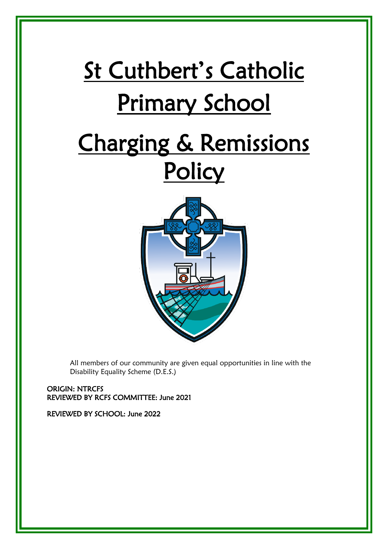# St Cuthbert's Catholic Primary School Charging & Remissions **Policy**



All members of our community are given equal opportunities in line with the Disability Equality Scheme (D.E.S.)

ORIGIN: NTRCFS REVIEWED BY RCFS COMMITTEE: June 2021

REVIEWED BY SCHOOL: June 2022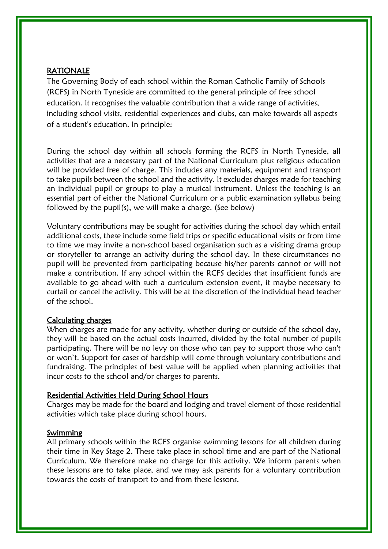#### RATIONALE

The Governing Body of each school within the Roman Catholic Family of Schools (RCFS) in North Tyneside are committed to the general principle of free school education. It recognises the valuable contribution that a wide range of activities, including school visits, residential experiences and clubs, can make towards all aspects of a student's education. In principle:

During the school day within all schools forming the RCFS in North Tyneside, all activities that are a necessary part of the National Curriculum plus religious education will be provided free of charge. This includes any materials, equipment and transport to take pupils between the school and the activity. It excludes charges made for teaching an individual pupil or groups to play a musical instrument. Unless the teaching is an essential part of either the National Curriculum or a public examination syllabus being followed by the pupil(s), we will make a charge. (See below)

Voluntary contributions may be sought for activities during the school day which entail additional costs, these include some field trips or specific educational visits or from time to time we may invite a non-school based organisation such as a visiting drama group or storyteller to arrange an activity during the school day. In these circumstances no pupil will be prevented from participating because his/her parents cannot or will not make a contribution. If any school within the RCFS decides that insufficient funds are available to go ahead with such a curriculum extension event, it maybe necessary to curtail or cancel the activity. This will be at the discretion of the individual head teacher of the school.

#### Calculating charges

When charges are made for any activity, whether during or outside of the school day, they will be based on the actual costs incurred, divided by the total number of pupils participating. There will be no levy on those who can pay to support those who can't or won't. Support for cases of hardship will come through voluntary contributions and fundraising. The principles of best value will be applied when planning activities that incur costs to the school and/or charges to parents.

#### Residential Activities Held During School Hours

Charges may be made for the board and lodging and travel element of those residential activities which take place during school hours.

#### Swimming

All primary schools within the RCFS organise swimming lessons for all children during their time in Key Stage 2. These take place in school time and are part of the National Curriculum. We therefore make no charge for this activity. We inform parents when these lessons are to take place, and we may ask parents for a voluntary contribution towards the costs of transport to and from these lessons.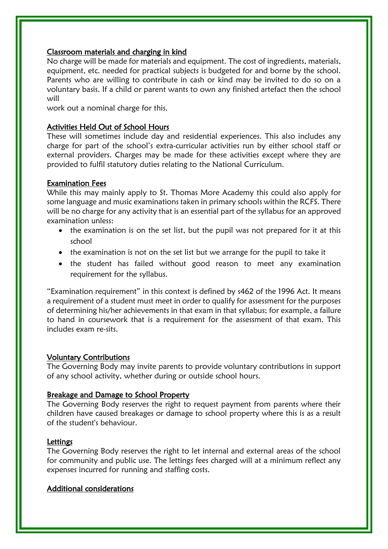## Classroom materials and charging in kind

No charge will be made for materials and equipment. The cost of ingredients, materials, equipment, etc. needed for practical subjects is budgeted for and borne by the school. Parents who are willing to contribute in cash or kind may be invited to do so on a voluntary basis. If a child or parent wants to own any finished artefact then the school will

work out a nominal charge for this.

## Activities Held Out of School Hours

These will sometimes include day and residential experiences. This also includes any charge for part of the school's extra-curricular activities run by either school staff or external providers. Charges may be made for these activities except where they are provided to fulfil statutory duties relating to the National Curriculum.

#### Examination Fees

While this may mainly apply to St. Thomas More Academy this could also apply for some language and music examinations taken in primary schools within the RCFS. There will be no charge for any activity that is an essential part of the syllabus for an approved examination unless:

- the examination is on the set list, but the pupil was not prepared for it at this school
- the examination is not on the set list but we arrange for the pupil to take it
- the student has failed without good reason to meet any examination requirement for the syllabus.

"Examination requirement" in this context is defined by s462 of the 1996 Act. It means a requirement of a student must meet in order to qualify for assessment for the purposes of determining his/her achievements in that exam in that syllabus; for example, a failure to hand in coursework that is a requirement for the assessment of that exam. This includes exam re-sits.

#### Voluntary Contributions

The Governing Body may invite parents to provide voluntary contributions in support of any school activity, whether during or outside school hours.

# Breakage and Damage to School Property

The Governing Body reserves the right to request payment from parents where their children have caused breakages or damage to school property where this is as a result of the student's behaviour.

#### **Lettings**

The Governing Body reserves the right to let internal and external areas of the school for community and public use. The lettings fees charged will at a minimum reflect any expenses incurred for running and staffing costs.

## Additional considerations